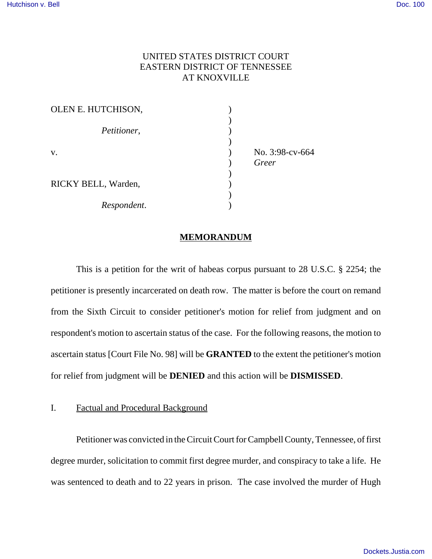## UNITED STATES DISTRICT COURT EASTERN DISTRICT OF TENNESSEE AT KNOXVILLE

| OLEN E. HUTCHISON,  |                          |
|---------------------|--------------------------|
| Petitioner,         |                          |
| V.                  | No. 3:98-cv-664<br>Greer |
| RICKY BELL, Warden, |                          |
| Respondent.         |                          |

#### **MEMORANDUM**

This is a petition for the writ of habeas corpus pursuant to 28 U.S.C. § 2254; the petitioner is presently incarcerated on death row. The matter is before the court on remand from the Sixth Circuit to consider petitioner's motion for relief from judgment and on respondent's motion to ascertain status of the case. For the following reasons, the motion to ascertain status [Court File No. 98] will be **GRANTED** to the extent the petitioner's motion for relief from judgment will be **DENIED** and this action will be **DISMISSED**.

I. Factual and Procedural Background

Petitioner was convicted in the Circuit Court for Campbell County, Tennessee, of first degree murder, solicitation to commit first degree murder, and conspiracy to take a life. He was sentenced to death and to 22 years in prison. The case involved the murder of Hugh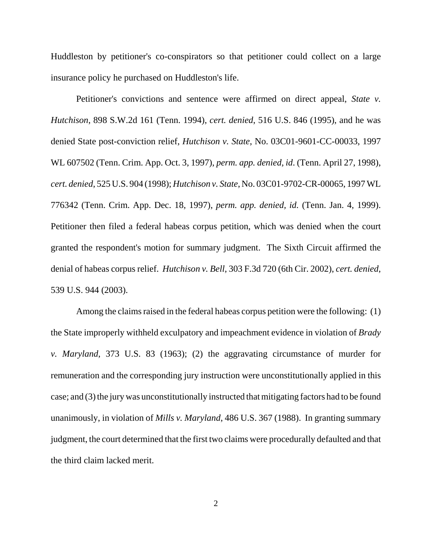Huddleston by petitioner's co-conspirators so that petitioner could collect on a large insurance policy he purchased on Huddleston's life.

Petitioner's convictions and sentence were affirmed on direct appeal, *State v. Hutchison*, 898 S.W.2d 161 (Tenn. 1994), *cert. denied*, 516 U.S. 846 (1995), and he was denied State post-conviction relief, *Hutchison v. State*, No. 03C01-9601-CC-00033, 1997 WL 607502 (Tenn. Crim. App. Oct. 3, 1997), *perm. app. denied, id*. (Tenn. April 27, 1998), *cert. denied*, 525 U.S. 904 (1998); *Hutchison v. State*, No. 03C01-9702-CR-00065, 1997 WL 776342 (Tenn. Crim. App. Dec. 18, 1997), *perm. app. denied, id.* (Tenn. Jan. 4, 1999). Petitioner then filed a federal habeas corpus petition, which was denied when the court granted the respondent's motion for summary judgment. The Sixth Circuit affirmed the denial of habeas corpus relief. *Hutchison v. Bell*, 303 F.3d 720 (6th Cir. 2002), *cert. denied*, 539 U.S. 944 (2003).

Among the claims raised in the federal habeas corpus petition were the following: (1) the State improperly withheld exculpatory and impeachment evidence in violation of *Brady v. Maryland*, 373 U.S. 83 (1963); (2) the aggravating circumstance of murder for remuneration and the corresponding jury instruction were unconstitutionally applied in this case; and (3) the jury was unconstitutionally instructed that mitigating factors had to be found unanimously, in violation of *Mills v. Maryland*, 486 U.S. 367 (1988). In granting summary judgment, the court determined that the first two claims were procedurally defaulted and that the third claim lacked merit.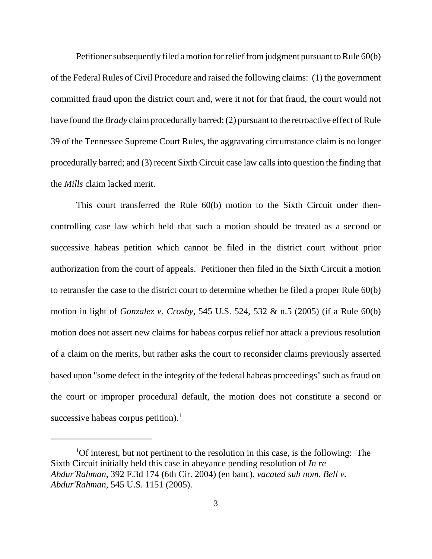Petitioner subsequently filed a motion for relief from judgment pursuant to Rule 60(b) of the Federal Rules of Civil Procedure and raised the following claims: (1) the government committed fraud upon the district court and, were it not for that fraud, the court would not have found the *Brady* claim procedurally barred; (2) pursuant to the retroactive effect of Rule 39 of the Tennessee Supreme Court Rules, the aggravating circumstance claim is no longer procedurally barred; and (3) recent Sixth Circuit case law calls into question the finding that the *Mills* claim lacked merit.

This court transferred the Rule 60(b) motion to the Sixth Circuit under thencontrolling case law which held that such a motion should be treated as a second or successive habeas petition which cannot be filed in the district court without prior authorization from the court of appeals. Petitioner then filed in the Sixth Circuit a motion to retransfer the case to the district court to determine whether he filed a proper Rule 60(b) motion in light of *Gonzalez v. Crosby*, 545 U.S. 524, 532 & n.5 (2005) (if a Rule 60(b) motion does not assert new claims for habeas corpus relief nor attack a previous resolution of a claim on the merits, but rather asks the court to reconsider claims previously asserted based upon "some defect in the integrity of the federal habeas proceedings" such as fraud on the court or improper procedural default, the motion does not constitute a second or successive habeas corpus petition). $<sup>1</sup>$ </sup>

<sup>&</sup>lt;sup>1</sup>Of interest, but not pertinent to the resolution in this case, is the following: The Sixth Circuit initially held this case in abeyance pending resolution of *In re Abdur'Rahman*, 392 F.3d 174 (6th Cir. 2004) (en banc), *vacated sub nom. Bell v. Abdur'Rahman*, 545 U.S. 1151 (2005).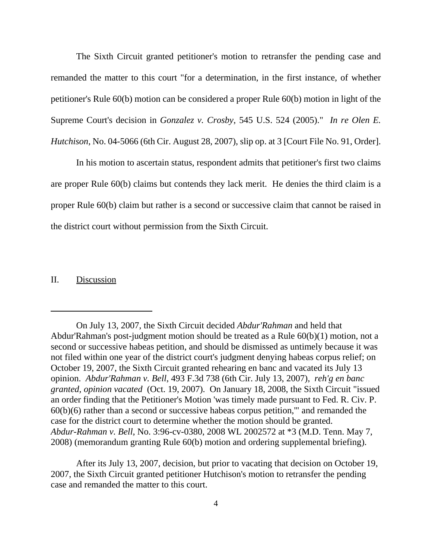The Sixth Circuit granted petitioner's motion to retransfer the pending case and remanded the matter to this court "for a determination, in the first instance, of whether petitioner's Rule 60(b) motion can be considered a proper Rule 60(b) motion in light of the Supreme Court's decision in *Gonzalez v. Crosby*, 545 U.S. 524 (2005)." *In re Olen E. Hutchison*, No. 04-5066 (6th Cir. August 28, 2007), slip op. at 3 [Court File No. 91, Order].

In his motion to ascertain status, respondent admits that petitioner's first two claims are proper Rule 60(b) claims but contends they lack merit. He denies the third claim is a proper Rule 60(b) claim but rather is a second or successive claim that cannot be raised in the district court without permission from the Sixth Circuit.

## II. Discussion

After its July 13, 2007, decision, but prior to vacating that decision on October 19, 2007, the Sixth Circuit granted petitioner Hutchison's motion to retransfer the pending case and remanded the matter to this court.

On July 13, 2007, the Sixth Circuit decided *Abdur'Rahman* and held that Abdur'Rahman's post-judgment motion should be treated as a Rule 60(b)(1) motion, not a second or successive habeas petition, and should be dismissed as untimely because it was not filed within one year of the district court's judgment denying habeas corpus relief; on October 19, 2007, the Sixth Circuit granted rehearing en banc and vacated its July 13 opinion. *Abdur'Rahman v. Bell*, 493 F.3d 738 (6th Cir. July 13, 2007), *reh'g en banc granted, opinion vacated* (Oct. 19, 2007). On January 18, 2008, the Sixth Circuit "issued an order finding that the Petitioner's Motion 'was timely made pursuant to Fed. R. Civ. P. 60(b)(6) rather than a second or successive habeas corpus petition,'" and remanded the case for the district court to determine whether the motion should be granted. *Abdur-Rahman v. Bell*, No. 3:96-cv-0380, 2008 WL 2002572 at \*3 (M.D. Tenn. May 7, 2008) (memorandum granting Rule 60(b) motion and ordering supplemental briefing).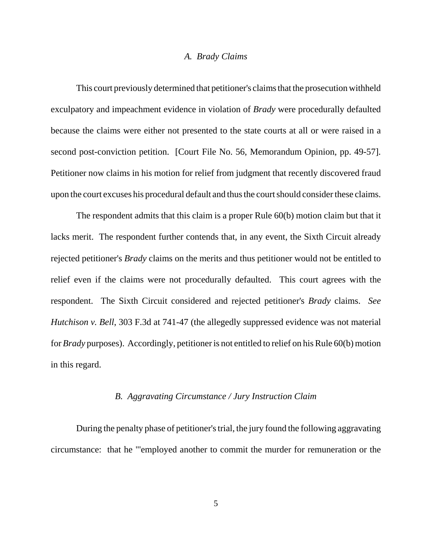#### *A. Brady Claims*

This court previously determined that petitioner's claims that the prosecution withheld exculpatory and impeachment evidence in violation of *Brady* were procedurally defaulted because the claims were either not presented to the state courts at all or were raised in a second post-conviction petition. [Court File No. 56, Memorandum Opinion, pp. 49-57]. Petitioner now claims in his motion for relief from judgment that recently discovered fraud upon the court excuses his procedural default and thus the court should consider these claims.

The respondent admits that this claim is a proper Rule 60(b) motion claim but that it lacks merit. The respondent further contends that, in any event, the Sixth Circuit already rejected petitioner's *Brady* claims on the merits and thus petitioner would not be entitled to relief even if the claims were not procedurally defaulted. This court agrees with the respondent. The Sixth Circuit considered and rejected petitioner's *Brady* claims. *See Hutchison v. Bell*, 303 F.3d at 741-47 (the allegedly suppressed evidence was not material for *Brady* purposes). Accordingly, petitioner is not entitled to relief on his Rule 60(b) motion in this regard.

#### *B. Aggravating Circumstance / Jury Instruction Claim*

During the penalty phase of petitioner's trial, the jury found the following aggravating circumstance: that he "'employed another to commit the murder for remuneration or the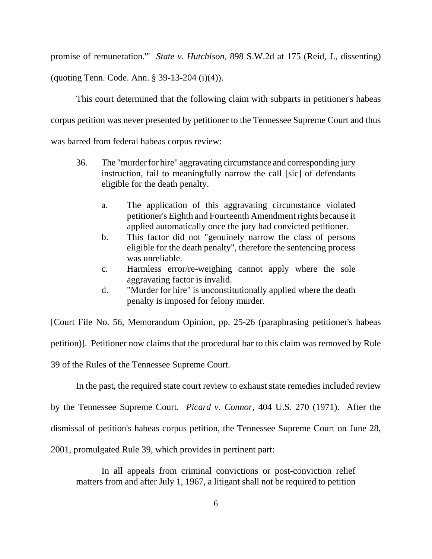promise of remuneration.'" *State v. Hutchison*, 898 S.W.2d at 175 (Reid, J., dissenting)

(quoting Tenn. Code. Ann. § 39-13-204 (i)(4)).

This court determined that the following claim with subparts in petitioner's habeas corpus petition was never presented by petitioner to the Tennessee Supreme Court and thus was barred from federal habeas corpus review:

- 36. The "murder for hire" aggravating circumstance and corresponding jury instruction, fail to meaningfully narrow the call [sic] of defendants eligible for the death penalty.
	- a. The application of this aggravating circumstance violated petitioner's Eighth and Fourteenth Amendment rights because it applied automatically once the jury had convicted petitioner.
	- b. This factor did not "genuinely narrow the class of persons eligible for the death penalty", therefore the sentencing process was unreliable.
	- c. Harmless error/re-weighing cannot apply where the sole aggravating factor is invalid.
	- d. "Murder for hire" is unconstitutionally applied where the death penalty is imposed for felony murder.

[Court File No. 56, Memorandum Opinion, pp. 25-26 (paraphrasing petitioner's habeas petition)]. Petitioner now claims that the procedural bar to this claim was removed by Rule 39 of the Rules of the Tennessee Supreme Court.

In the past, the required state court review to exhaust state remedies included review

by the Tennessee Supreme Court. *Picard v. Connor*, 404 U.S. 270 (1971). After the

dismissal of petition's habeas corpus petition, the Tennessee Supreme Court on June 28,

2001, promulgated Rule 39, which provides in pertinent part:

In all appeals from criminal convictions or post-conviction relief matters from and after July 1, 1967, a litigant shall not be required to petition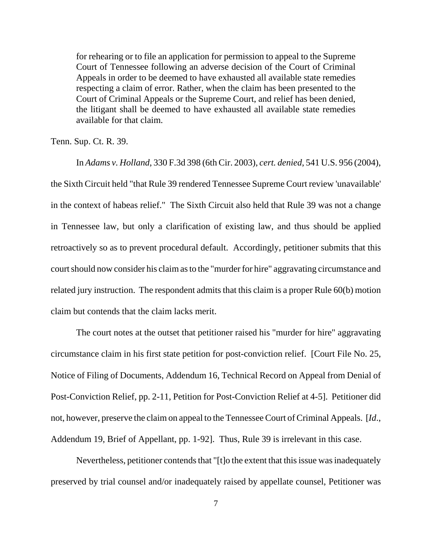for rehearing or to file an application for permission to appeal to the Supreme Court of Tennessee following an adverse decision of the Court of Criminal Appeals in order to be deemed to have exhausted all available state remedies respecting a claim of error. Rather, when the claim has been presented to the Court of Criminal Appeals or the Supreme Court, and relief has been denied, the litigant shall be deemed to have exhausted all available state remedies available for that claim.

Tenn. Sup. Ct. R. 39.

In *Adams v. Holland*, 330 F.3d 398 (6th Cir. 2003), *cert. denied*, 541 U.S. 956 (2004), the Sixth Circuit held "that Rule 39 rendered Tennessee Supreme Court review 'unavailable' in the context of habeas relief." The Sixth Circuit also held that Rule 39 was not a change in Tennessee law, but only a clarification of existing law, and thus should be applied retroactively so as to prevent procedural default. Accordingly, petitioner submits that this court should now consider his claim as to the "murder for hire" aggravating circumstance and related jury instruction. The respondent admits that this claim is a proper Rule 60(b) motion claim but contends that the claim lacks merit.

The court notes at the outset that petitioner raised his "murder for hire" aggravating circumstance claim in his first state petition for post-conviction relief. [Court File No. 25, Notice of Filing of Documents, Addendum 16, Technical Record on Appeal from Denial of Post-Conviction Relief, pp. 2-11, Petition for Post-Conviction Relief at 4-5]. Petitioner did not, however, preserve the claim on appeal to the Tennessee Court of Criminal Appeals. [*Id*., Addendum 19, Brief of Appellant, pp. 1-92]. Thus, Rule 39 is irrelevant in this case.

Nevertheless, petitioner contends that "[t]o the extent that this issue was inadequately preserved by trial counsel and/or inadequately raised by appellate counsel, Petitioner was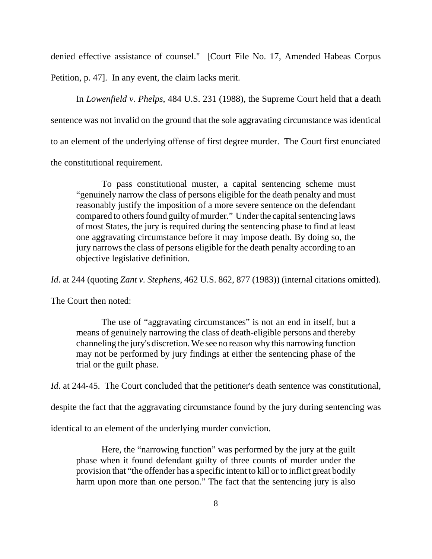denied effective assistance of counsel." [Court File No. 17, Amended Habeas Corpus Petition, p. 47]. In any event, the claim lacks merit.

In *Lowenfield v. Phelps*, 484 U.S. 231 (1988), the Supreme Court held that a death sentence was not invalid on the ground that the sole aggravating circumstance was identical to an element of the underlying offense of first degree murder. The Court first enunciated the constitutional requirement.

To pass constitutional muster, a capital sentencing scheme must "genuinely narrow the class of persons eligible for the death penalty and must reasonably justify the imposition of a more severe sentence on the defendant compared to others found guilty of murder." Under the capital sentencing laws of most States, the jury is required during the sentencing phase to find at least one aggravating circumstance before it may impose death. By doing so, the jury narrows the class of persons eligible for the death penalty according to an objective legislative definition.

*Id*. at 244 (quoting *Zant v. Stephens*, 462 U.S. 862, 877 (1983)) (internal citations omitted).

The Court then noted:

The use of "aggravating circumstances" is not an end in itself, but a means of genuinely narrowing the class of death-eligible persons and thereby channeling the jury's discretion. We see no reason why this narrowing function may not be performed by jury findings at either the sentencing phase of the trial or the guilt phase.

*Id.* at 244-45. The Court concluded that the petitioner's death sentence was constitutional,

despite the fact that the aggravating circumstance found by the jury during sentencing was

identical to an element of the underlying murder conviction.

Here, the "narrowing function" was performed by the jury at the guilt phase when it found defendant guilty of three counts of murder under the provision that "the offender has a specific intent to kill or to inflict great bodily harm upon more than one person." The fact that the sentencing jury is also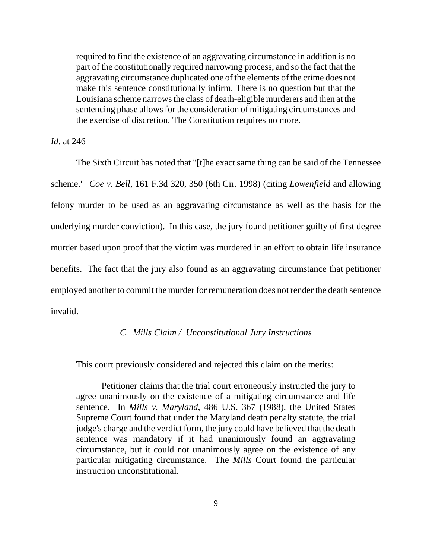required to find the existence of an aggravating circumstance in addition is no part of the constitutionally required narrowing process, and so the fact that the aggravating circumstance duplicated one of the elements of the crime does not make this sentence constitutionally infirm. There is no question but that the Louisiana scheme narrows the class of death-eligible murderers and then at the sentencing phase allows for the consideration of mitigating circumstances and the exercise of discretion. The Constitution requires no more.

*Id*. at 246

The Sixth Circuit has noted that "[t]he exact same thing can be said of the Tennessee scheme." *Coe v. Bell*, 161 F.3d 320, 350 (6th Cir. 1998) (citing *Lowenfield* and allowing felony murder to be used as an aggravating circumstance as well as the basis for the underlying murder conviction). In this case, the jury found petitioner guilty of first degree murder based upon proof that the victim was murdered in an effort to obtain life insurance benefits. The fact that the jury also found as an aggravating circumstance that petitioner employed another to commit the murder for remuneration does not render the death sentence invalid.

### *C. Mills Claim / Unconstitutional Jury Instructions*

This court previously considered and rejected this claim on the merits:

Petitioner claims that the trial court erroneously instructed the jury to agree unanimously on the existence of a mitigating circumstance and life sentence. In *Mills v. Maryland*, 486 U.S. 367 (1988), the United States Supreme Court found that under the Maryland death penalty statute, the trial judge's charge and the verdict form, the jury could have believed that the death sentence was mandatory if it had unanimously found an aggravating circumstance, but it could not unanimously agree on the existence of any particular mitigating circumstance. The *Mills* Court found the particular instruction unconstitutional.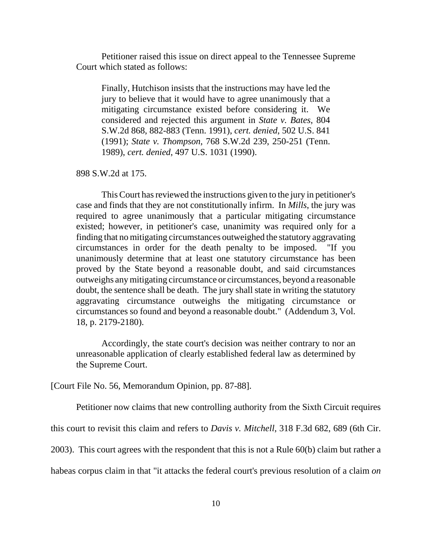Petitioner raised this issue on direct appeal to the Tennessee Supreme Court which stated as follows:

Finally, Hutchison insists that the instructions may have led the jury to believe that it would have to agree unanimously that a mitigating circumstance existed before considering it. We considered and rejected this argument in *State v. Bates*, 804 S.W.2d 868, 882-883 (Tenn. 1991), *cert. denied*, 502 U.S. 841 (1991); *State v. Thompson*, 768 S.W.2d 239, 250-251 (Tenn. 1989), *cert. denied*, 497 U.S. 1031 (1990).

898 S.W.2d at 175.

This Court has reviewed the instructions given to the jury in petitioner's case and finds that they are not constitutionally infirm. In *Mills*, the jury was required to agree unanimously that a particular mitigating circumstance existed; however, in petitioner's case, unanimity was required only for a finding that no mitigating circumstances outweighed the statutory aggravating circumstances in order for the death penalty to be imposed. "If you unanimously determine that at least one statutory circumstance has been proved by the State beyond a reasonable doubt, and said circumstances outweighs any mitigating circumstance or circumstances, beyond a reasonable doubt, the sentence shall be death. The jury shall state in writing the statutory aggravating circumstance outweighs the mitigating circumstance or circumstances so found and beyond a reasonable doubt." (Addendum 3, Vol. 18, p. 2179-2180).

Accordingly, the state court's decision was neither contrary to nor an unreasonable application of clearly established federal law as determined by the Supreme Court.

[Court File No. 56, Memorandum Opinion, pp. 87-88].

Petitioner now claims that new controlling authority from the Sixth Circuit requires

this court to revisit this claim and refers to *Davis v. Mitchell*, 318 F.3d 682, 689 (6th Cir.

2003). This court agrees with the respondent that this is not a Rule 60(b) claim but rather a

habeas corpus claim in that "it attacks the federal court's previous resolution of a claim *on*